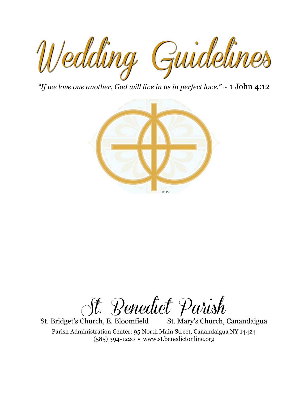

*"If we love one another, God will live in us in perfect love."* ~ 1 John 4:12



St. Benedict Parish

St. Bridget's Church, E. Bloomfield St. Mary's Church, Canandaigua

Parish Administration Center: 95 North Main Street, Canandaigua NY 14424 (585) 394-1220 • www.st.benedictonline.org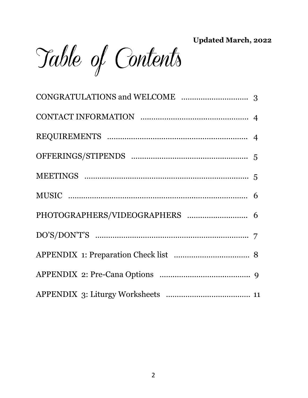**Updated March, 2022**

Table of Contents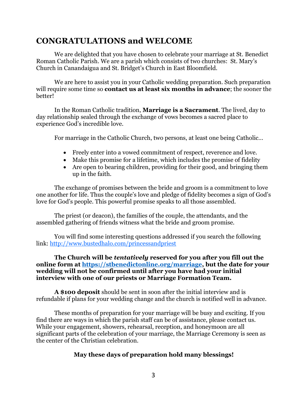# **CONGRATULATIONS and WELCOME**

We are delighted that you have chosen to celebrate your marriage at St. Benedict Roman Catholic Parish. We are a parish which consists of two churches: St. Mary's Church in Canandaigua and St. Bridget's Church in East Bloomfield.

We are here to assist you in your Catholic wedding preparation. Such preparation will require some time so **contact us at least six months in advance**; the sooner the better!

In the Roman Catholic tradition, **Marriage is a Sacrament**. The lived, day to day relationship sealed through the exchange of vows becomes a sacred place to experience God's incredible love.

For marriage in the Catholic Church, two persons, at least one being Catholic…

- Freely enter into a vowed commitment of respect, reverence and love.
- Make this promise for a lifetime, which includes the promise of fidelity
- Are open to bearing children, providing for their good, and bringing them up in the faith.

The exchange of promises between the bride and groom is a commitment to love one another for life. Thus the couple's love and pledge of fidelity becomes a sign of God's love for God's people. This powerful promise speaks to all those assembled.

The priest (or deacon), the families of the couple, the attendants, and the assembled gathering of friends witness what the bride and groom promise.

You will find some interesting questions addressed if you search the following link: http://www.bustedhalo.com/princessandpriest

**The Church will be** *tentatively* **reserved for you after you fill out the online form at [https://stbenedictonline.org/marriage,](https://stbenedictonline.org/marriage) but the date for your wedding will not be confirmed until after you have had your initial interview with one of our priests or Marriage Formation Team.**

**A \$100 deposit** should be sent in soon after the initial interview and is refundable if plans for your wedding change and the church is notified well in advance.

These months of preparation for your marriage will be busy and exciting. If you find there are ways in which the parish staff can be of assistance, please contact us. While your engagement, showers, rehearsal, reception, and honeymoon are all significant parts of the celebration of your marriage, the Marriage Ceremony is seen as the center of the Christian celebration.

#### **May these days of preparation hold many blessings!**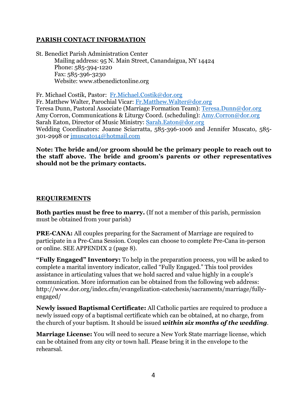### **PARISH CONTACT INFORMATION**

St. Benedict Parish Administration Center Mailing address: 95 N. Main Street, Canandaigua, NY 14424 Phone: 585-394-1220 Fax: 585-396-3230 Website: www.stbenedictonline.org

Fr. Michael Costik, Pastor: [Fr.Michael.Costik@dor.org](mailto:Fr.Michael.Costik@dor.org) Fr. Matthew Walter, Parochial Vicar: [Fr.Matthew.Walter@dor.org](mailto:Fr.Matthew.Walter@dor.org) Teresa Dunn, Pastoral Associate (Marriage Formation Team): [Teresa.Dunn@dor.org](mailto:Teresa.Dunn@dor.org) Amy Corron, Communications & Liturgy Coord. (scheduling): [Amy.Corron@dor.org](mailto:Amy.Corron@dor.org) Sarah Eaton, Director of Music Ministry: [Sarah.Eaton@dor.org](mailto:Sarah.Eaton@dor.org) Wedding Coordinators: Joanne Sciarratta, 585-396-1006 and Jennifer Muscato, 585- 301-2998 or [jmuscato14@hotmail.com](mailto:jmuscato14@hotmail.com)

#### **Note: The bride and/or groom should be the primary people to reach out to the staff above. The bride and groom's parents or other representatives should not be the primary contacts.**

#### **REQUIREMENTS**

**Both parties must be free to marry.** (If not a member of this parish, permission must be obtained from your parish)

**PRE-CANA:** All couples preparing for the Sacrament of Marriage are required to participate in a Pre-Cana Session. Couples can choose to complete Pre-Cana in-person or online. SEE APPENDIX 2 (page 8).

**"Fully Engaged" Inventory:** To help in the preparation process, you will be asked to complete a marital inventory indicator, called "Fully Engaged." This tool provides assistance in articulating values that we hold sacred and value highly in a couple's communication. More information can be obtained from the following web address: http://www.dor.org/index.cfm/evangelization-catechesis/sacraments/marriage/fullyengaged/

**Newly issued Baptismal Certificate:** All Catholic parties are required to produce a newly issued copy of a baptismal certificate which can be obtained, at no charge, from the church of your baptism. It should be issued *within six months of the wedding.*

**Marriage License:** You will need to secure a New York State marriage license, which can be obtained from any city or town hall. Please bring it in the envelope to the rehearsal.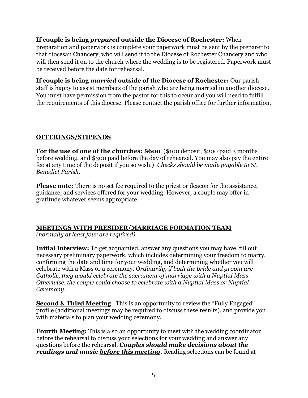**If couple is being** *prepared* **outside the Diocese of Rochester:** When preparation and paperwork is complete your paperwork must be sent by the preparer to that diocesan Chancery, who will send it to the Diocese of Rochester Chancery and who will then send it on to the church where the wedding is to be registered. Paperwork must be received before the date for rehearsal.

**If couple is being** *married* **outside of the Diocese of Rochester:** Our parish staff is happy to assist members of the parish who are being married in another diocese. You must have permission from the pastor for this to occur and you will need to fulfill the requirements of this diocese. Please contact the parish office for further information.

## **OFFERINGS/STIPENDS**

**For the use of one of the churches: \$600** (\$100 deposit, \$200 paid 3 months before wedding, and \$300 paid before the day of rehearsal. You may also pay the entire fee at any time of the deposit if you so wish.) *Checks should be made payable to St. Benedict Parish.* 

**Please note:** There is no set fee required to the priest or deacon for the assistance, guidance, and services offered for your wedding. However, a couple may offer in gratitude whatever seems appropriate.

# **MEETINGS WITH PRESIDER/MARRIAGE FORMATION TEAM**

*(normally at least four are required)*

**Initial Interview:** To get acquainted, answer any questions you may have, fill out necessary preliminary paperwork, which includes determining your freedom to marry, confirming the date and time for your wedding, and determining whether you will celebrate with a Mass or a ceremony. *Ordinarily, if both the bride and groom are Catholic, they would celebrate the sacrament of marriage with a Nuptial Mass. Otherwise, the couple could choose to celebrate with a Nuptial Mass or Nuptial Ceremony.* 

**Second & Third Meeting**: This is an opportunity to review the "Fully Engaged" profile (additional meetings may be required to discuss these results), and provide you with materials to plan your wedding ceremony.

**Fourth Meeting:** This is also an opportunity to meet with the wedding coordinator before the rehearsal to discuss your selections for your wedding and answer any questions before the rehearsal. *Couples should make decisions about the readings and music before this meeting.* Reading selections can be found at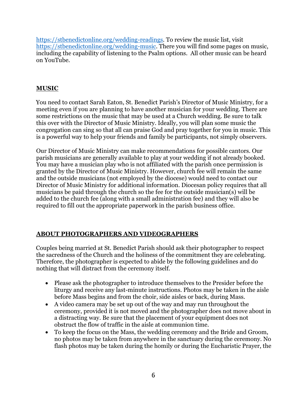[https://stbenedictonline.org/wedding-readings.](https://stbenedictonline.org/wedding-readings) To review the music list, visit [https://stbenedictonline.org/wedding-music.](https://stbenedictonline.org/wedding-music) There you will find some pages on music, including the capability of listening to the Psalm options. All other music can be heard on YouTube.

## **MUSIC**

You need to contact Sarah Eaton, St. Benedict Parish's Director of Music Ministry, for a meeting even if you are planning to have another musician for your wedding. There are some restrictions on the music that may be used at a Church wedding. Be sure to talk this over with the Director of Music Ministry. Ideally, you will plan some music the congregation can sing so that all can praise God and pray together for you in music. This is a powerful way to help your friends and family be participants, not simply observers.

Our Director of Music Ministry can make recommendations for possible cantors. Our parish musicians are generally available to play at your wedding if not already booked. You may have a musician play who is not affiliated with the parish once permission is granted by the Director of Music Ministry. However, church fee will remain the same and the outside musicians (not employed by the diocese) would need to contact our Director of Music Ministry for additional information. Diocesan policy requires that all musicians be paid through the church so the fee for the outside musician(s) will be added to the church fee (along with a small administration fee) and they will also be required to fill out the appropriate paperwork in the parish business office.

# **ABOUT PHOTOGRAPHERS AND VIDEOGRAPHERS**

Couples being married at St. Benedict Parish should ask their photographer to respect the sacredness of the Church and the holiness of the commitment they are celebrating. Therefore, the photographer is expected to abide by the following guidelines and do nothing that will distract from the ceremony itself.

- Please ask the photographer to introduce themselves to the Presider before the liturgy and receive any last-minute instructions. Photos may be taken in the aisle before Mass begins and from the choir, side aisles or back, during Mass.
- A video camera may be set up out of the way and may run throughout the ceremony, provided it is not moved and the photographer does not move about in a distracting way. Be sure that the placement of your equipment does not obstruct the flow of traffic in the aisle at communion time.
- To keep the focus on the Mass, the wedding ceremony and the Bride and Groom, no photos may be taken from anywhere in the sanctuary during the ceremony. No flash photos may be taken during the homily or during the Eucharistic Prayer, the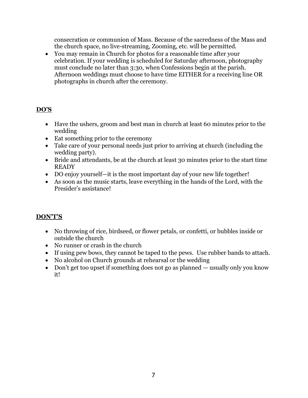consecration or communion of Mass. Because of the sacredness of the Mass and the church space, no live-streaming, Zooming, etc. will be permitted.

• You may remain in Church for photos for a reasonable time after your celebration. If your wedding is scheduled for Saturday afternoon, photography must conclude no later than 3:30, when Confessions begin at the parish. Afternoon weddings must choose to have time EITHER for a receiving line OR photographs in church after the ceremony.

# **DO'S**

- Have the ushers, groom and best man in church at least 60 minutes prior to the wedding
- Eat something prior to the ceremony
- Take care of your personal needs just prior to arriving at church (including the wedding party).
- Bride and attendants, be at the church at least 30 minutes prior to the start time **READY**
- DO enjoy yourself—it is the most important day of your new life together!
- As soon as the music starts, leave everything in the hands of the Lord, with the Presider's assistance!

# **DON'T'S**

- No throwing of rice, birdseed, or flower petals, or confetti, or bubbles inside or outside the church
- No runner or crash in the church
- If using pew bows, they cannot be taped to the pews. Use rubber bands to attach.
- No alcohol on Church grounds at rehearsal or the wedding
- Don't get too upset if something does not go as planned usually only you know it!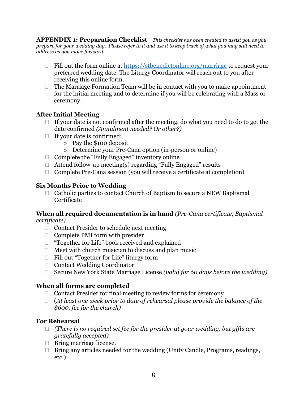**APPENDIX 1: Preparation Checklist** - *This checklist has been created to assist you as you prepare for your wedding day. Please refer to it and use it to keep track of what you may still need to address as you move forward*

- $\Box$  Fill out the form online at<https://stbenedictonline.org/marriage> to request your preferred wedding date. The Liturgy Coordinator will reach out to you after receiving this online form.
- $\Box$  The Marriage Formation Team will be in contact with you to make appointment for the initial meeting and to determine if you will be celebrating with a Mass or ceremony.

# **After Initial Meeting**

- $\Box$  If your date is not confirmed after the meeting, do what you need to do to get the date confirmed *(Annulment needed? Or other?)*
- $\Box$  If your date is confirmed:
	- o Pay the \$100 deposit
	- o Determine your Pre-Cana option (in-person or online)
- $\Box$  Complete the "Fully Engaged" inventory online
- $\Box$  Attend follow-up meeting(s) regarding "Fully Engaged" results
- $\Box$  Complete Pre-Cana session (you will receive a certificate at completion)

## **Six Months Prior to Wedding**

 $\Box$  Catholic parties to contact Church of Baptism to secure a <u>NEW</u> Baptismal Certificate

#### **When all required documentation is in hand** *(Pre-Cana certificate, Baptismal certificate)*

- $\Box$  Contact Presider to schedule next meeting
- $\Box$  Complete PMI form with presider
- $\Box$  "Together for Life" book received and explained
- $\Box$  Meet with church musician to discuss and plan music
- □ Fill out "Together for Life" liturgy form
- □ Contact Wedding Coordinator
- □ Secure New York State Marriage License *(valid for 60 days before the wedding)*

## **When all forms are completed**

- $\Box$  Contact Presider for final meeting to review forms for ceremony
- (*At least one week prior to date of rehearsal please provide the balance of the \$600. fee for the church)*

## **For Rehearsal**

- *(There is no required set fee for the presider at your wedding, but gifts are gratefully accepted)*
- $\Box$  Bring marriage license.
- $\Box$  Bring any articles needed for the wedding (Unity Candle, Programs, readings, etc.)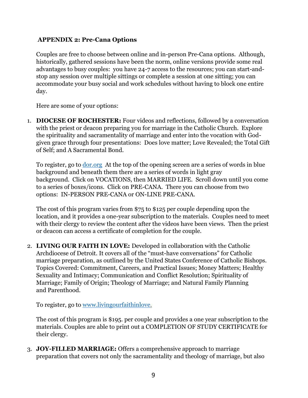## **APPENDIX 2: Pre-Cana Options**

Couples are free to choose between online and in-person Pre-Cana options. Although, historically, gathered sessions have been the norm, online versions provide some real advantages to busy couples: you have 24-7 access to the resources; you can start-andstop any session over multiple sittings or complete a session at one sitting; you can accommodate your busy social and work schedules without having to block one entire day.

Here are some of your options:

1. **DIOCESE OF ROCHESTER:** Four videos and reflections, followed by a conversation with the priest or deacon preparing you for marriage in the Catholic Church. Explore the spirituality and sacramentality of marriage and enter into the vocation with Godgiven grace through four presentations: Does love matter; Love Revealed; the Total Gift of Self; and A Sacramental Bond.

To register, go to [dor.org](http://dor.org/) At the top of the opening screen are a series of words in blue background and beneath them there are a series of words in light gray background. Click on VOCATIONS, then MARRIED LIFE. Scroll down until you come to a series of boxes/icons. Click on PRE-CANA. There you can choose from two options: IN-PERSON PRE-CANA or ON-LINE PRE-CANA.

The cost of this program varies from \$75 to \$125 per couple depending upon the location, and it provides a one-year subscription to the materials. Couples need to meet with their clergy to review the content after the videos have been views. Then the priest or deacon can access a certificate of completion for the couple.

2. **LIVING OUR FAITH IN LOVE:** Developed in collaboration with the Catholic Archdiocese of Detroit. It covers all of the "must-have conversations" for Catholic marriage preparation, as outlined by the United States Conference of Catholic Bishops. Topics Covered: Commitment, Careers, and Practical Issues; Money Matters; Healthy Sexuality and Intimacy; Communication and Conflict Resolution; Spirituality of Marriage; Family of Origin; Theology of Marriage; and Natural Family Planning and Parenthood.

To register, go to [www.livingourfaithinlove.](http://www.livingourfaithinlove/)

The cost of this program is \$195. per couple and provides a one year subscription to the materials. Couples are able to print out a COMPLETION OF STUDY CERTIFICATE for their clergy.

3. **JOY-FILLED MARRIAGE:** Offers a comprehensive approach to marriage preparation that covers not only the sacramentality and theology of marriage, but also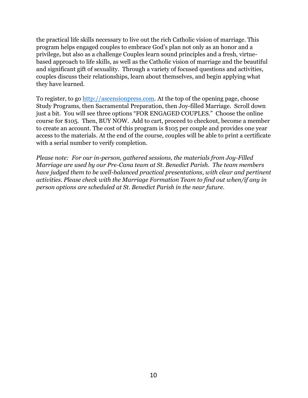the practical life skills necessary to live out the rich Catholic vision of marriage. This program helps engaged couples to embrace God's plan not only as an honor and a privilege, but also as a challenge Couples learn sound principles and a fresh, virtuebased approach to life skills, as well as the Catholic vision of marriage and the beautiful and significant gift of sexuality. Through a variety of focused questions and activities, couples discuss their relationships, learn about themselves, and begin applying what they have learned.

To register, to go [http://ascensionpress.com.](http://ascensionpress.com/) At the top of the opening page, choose Study Programs, then Sacramental Preparation, then Joy-filled Marriage. Scroll down just a bit. You will see three options "FOR ENGAGED COUPLES." Choose the online course for \$105. Then, BUY NOW. Add to cart, proceed to checkout, become a member to create an account. The cost of this program is \$105 per couple and provides one year access to the materials. At the end of the course, couples will be able to print a certificate with a serial number to verify completion.

*Please note: For our in-person, gathered sessions, the materials from Joy-Filled Marriage are used by our Pre-Cana team at St. Benedict Parish. The team members have judged them to be well-balanced practical presentations, with clear and pertinent activities. Please check with the Marriage Formation Team to find out when/if any in person options are scheduled at St. Benedict Parish in the near future.*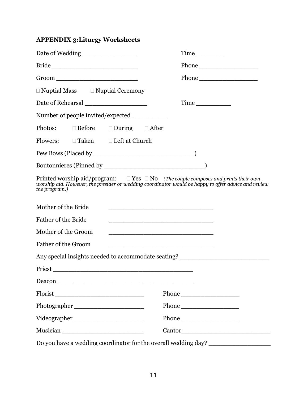# **APPENDIX 3:Liturgy Worksheets**

| Date of Wedding ________________                                                                                    |                                                                                                                                                                                                       |
|---------------------------------------------------------------------------------------------------------------------|-------------------------------------------------------------------------------------------------------------------------------------------------------------------------------------------------------|
|                                                                                                                     |                                                                                                                                                                                                       |
|                                                                                                                     | Phone                                                                                                                                                                                                 |
| $\Box$ Nuptial Mass $\Box$ Nuptial Ceremony                                                                         |                                                                                                                                                                                                       |
| Date of Rehearsal ___________________                                                                               |                                                                                                                                                                                                       |
| Number of people invited/expected ____________                                                                      |                                                                                                                                                                                                       |
| Photos: $\Box$ Before $\Box$ During $\Box$ After                                                                    |                                                                                                                                                                                                       |
| Flowers: □ Taken □ Left at Church                                                                                   |                                                                                                                                                                                                       |
|                                                                                                                     |                                                                                                                                                                                                       |
|                                                                                                                     |                                                                                                                                                                                                       |
| the program.)                                                                                                       | Printed worship aid/program: $\square$ Yes $\square$ No (The couple composes and prints their own worship aid. However, the presider or wedding coordinator would be happy to offer advice and review |
| Mother of the Bride                                                                                                 |                                                                                                                                                                                                       |
| Father of the Bride                                                                                                 |                                                                                                                                                                                                       |
| Mother of the Groom                                                                                                 | <u> 2000 - Jan Barat, martin da basar da basar da basar da basar da basar da basar da basar da basar da basar da</u>                                                                                  |
| Father of the Groom                                                                                                 |                                                                                                                                                                                                       |
|                                                                                                                     | Any special insights needed to accommodate seating? ____________________________                                                                                                                      |
| Priest Priest Priest and Priest Priest Priest Priest Priest Priest Priest Priest Priest Priest Priest Priest Priest |                                                                                                                                                                                                       |
| Deacon                                                                                                              |                                                                                                                                                                                                       |
| Florist                                                                                                             |                                                                                                                                                                                                       |
|                                                                                                                     |                                                                                                                                                                                                       |
|                                                                                                                     |                                                                                                                                                                                                       |
|                                                                                                                     |                                                                                                                                                                                                       |
|                                                                                                                     | Do you have a wedding coordinator for the overall wedding day? _________________                                                                                                                      |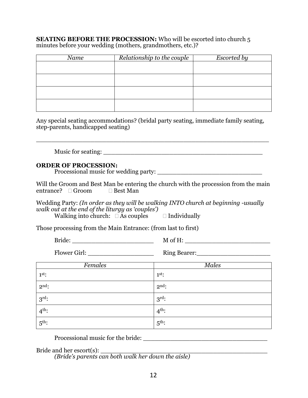**SEATING BEFORE THE PROCESSION:** Who will be escorted into church 5 minutes before your wedding (mothers, grandmothers, etc.)?

| Name | Relationship to the couple | <b>Escorted by</b> |
|------|----------------------------|--------------------|
|      |                            |                    |
|      |                            |                    |
|      |                            |                    |
|      |                            |                    |
|      |                            |                    |

Any special seating accommodations? (bridal party seating, immediate family seating, step-parents, handicapped seating)

\_\_\_\_\_\_\_\_\_\_\_\_\_\_\_\_\_\_\_\_\_\_\_\_\_\_\_\_\_\_\_\_\_\_\_\_\_\_\_\_\_\_\_\_\_\_\_\_\_\_\_\_\_\_\_\_\_\_\_\_

Music for seating: \_\_\_\_\_\_\_\_\_\_\_\_\_\_\_\_\_\_\_\_\_\_\_\_\_\_\_\_\_\_\_\_\_\_\_\_\_\_\_\_\_

#### **ORDER OF PROCESSION:**

Processional music for wedding party:

Will the Groom and Best Man be entering the church with the procession from the main entrance?  $\Box$  Groom  $\Box$  Best Man

Wedding Party: *(In order as they will be walking INTO church at beginning -usually walk out at the end of the liturgy as 'couples')*

Walking into church:  $\Box$  As couples  $\Box$  Individually

Those processing from the Main Entrance: (from last to first)

Bride: \_\_\_\_\_\_\_\_\_\_\_\_\_\_\_\_\_\_\_\_\_ M of H: \_\_\_\_\_\_\_\_\_\_\_\_\_\_\_\_\_\_\_\_\_\_

Flower Girl: \_\_\_\_\_\_\_\_\_\_\_\_\_\_\_\_\_ Ring Bearer:\_\_\_\_\_\_\_\_\_\_\_\_\_\_\_\_\_\_\_

| Females           | <b>Males</b>      |
|-------------------|-------------------|
| $1st$ :           | $1st$ :           |
| $2nd$ :           | $2nd$ :           |
| $3rd$ :           | $3rd$ :           |
| $4^{\text{th}}$ : | $4th$ :           |
| $5^{\text{th}}$ : | $5^{\text{th}}$ : |

Processional music for the bride:

Bride and her escort $(s)$ :

*(Bride's parents can both walk her down the aisle)*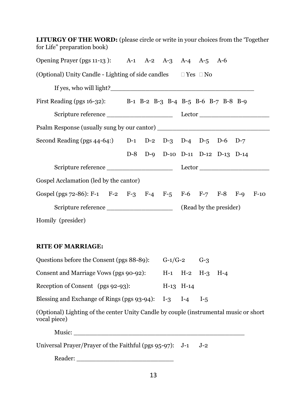| <b>LITURGY OF THE WORD:</b> (please circle or write in your choices from the 'Together'<br>for Life" preparation book) |                                  |  |  |  |
|------------------------------------------------------------------------------------------------------------------------|----------------------------------|--|--|--|
| Opening Prayer (pgs 11-13): A-1 A-2 A-3 A-4 A-5 A-6                                                                    |                                  |  |  |  |
| (Optional) Unity Candle - Lighting of side candles $\square$ Yes $\square$ No                                          |                                  |  |  |  |
|                                                                                                                        |                                  |  |  |  |
| First Reading (pgs 16-32): B-1 B-2 B-3 B-4 B-5 B-6 B-7 B-8 B-9                                                         |                                  |  |  |  |
|                                                                                                                        |                                  |  |  |  |
|                                                                                                                        |                                  |  |  |  |
| Second Reading (pgs 44-64:) D-1 D-2 D-3 D-4 D-5 D-6 D-7                                                                |                                  |  |  |  |
|                                                                                                                        | D-8 D-9 D-10 D-11 D-12 D-13 D-14 |  |  |  |
|                                                                                                                        |                                  |  |  |  |
| Gospel Acclamation (led by the cantor)                                                                                 |                                  |  |  |  |
| Gospel (pgs 72-86): F-1 F-2 F-3 F-4 F-5 F-6 F-7 F-8 F-9 F-10                                                           |                                  |  |  |  |
|                                                                                                                        |                                  |  |  |  |
| Homily (presider)                                                                                                      |                                  |  |  |  |

#### **RITE OF MARRIAGE:**

| Questions before the Consent (pgs 88-89):           | $G-1/G-2$ |                         | $(1-3)$ |  |
|-----------------------------------------------------|-----------|-------------------------|---------|--|
| Consent and Marriage Vows (pgs 90-92):              |           | $H-1$ $H-2$ $H-3$ $H-4$ |         |  |
| Reception of Consent (pgs 92-93):                   |           | $H-13$ $H-14$           |         |  |
| Blessing and Exchange of Rings (pgs 93-94): I-3 I-4 |           |                         | $1 - 5$ |  |

(Optional) Lighting of the center Unity Candle by couple (instrumental music or short vocal piece)

Music: \_\_\_\_\_\_\_\_\_\_\_\_\_\_\_\_\_\_\_\_\_\_\_\_\_\_\_\_\_\_\_\_\_\_\_\_\_\_\_\_\_\_\_\_

Universal Prayer/Prayer of the Faithful (pgs 95-97): J-1 J-2

Reader: \_\_\_\_\_\_\_\_\_\_\_\_\_\_\_\_\_\_\_\_\_\_\_\_\_